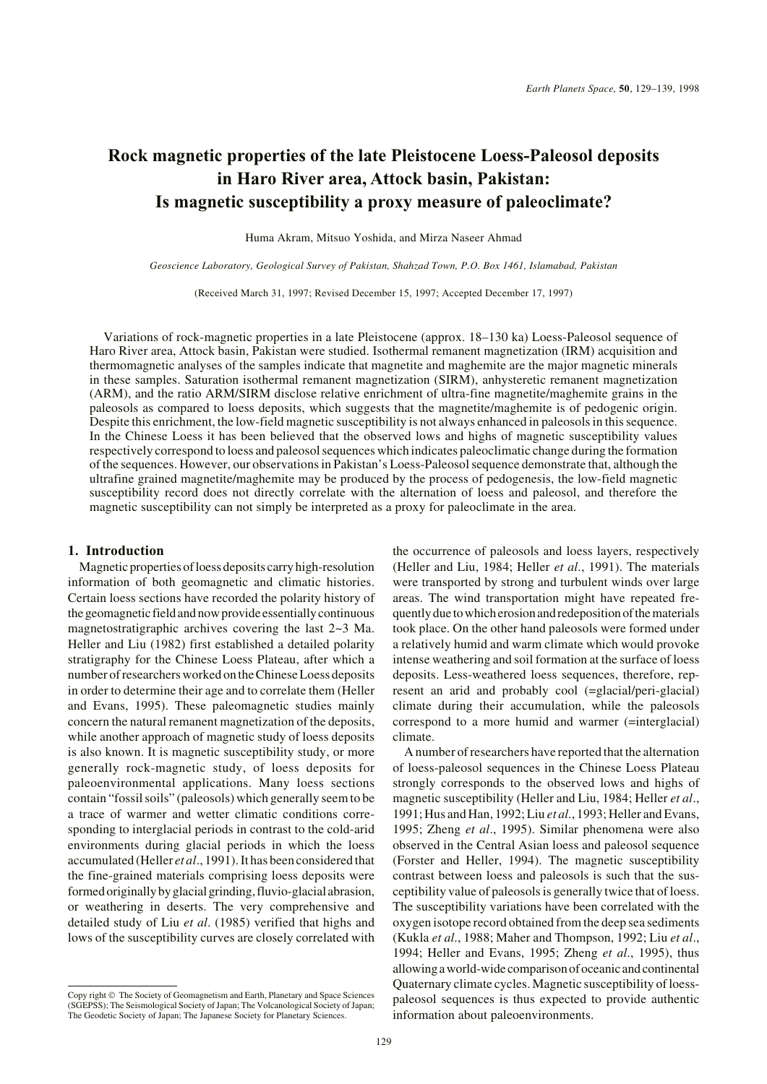# **Rock magnetic properties of the late Pleistocene Loess-Paleosol deposits in Haro River area, Attock basin, Pakistan: Is magnetic susceptibility a proxy measure of paleoclimate?**

Huma Akram, Mitsuo Yoshida, and Mirza Naseer Ahmad

*Geoscience Laboratory, Geological Survey of Pakistan, Shahzad Town, P.O. Box 1461, Islamabad, Pakistan*

(Received March 31, 1997; Revised December 15, 1997; Accepted December 17, 1997)

Variations of rock-magnetic properties in a late Pleistocene (approx. 18–130 ka) Loess-Paleosol sequence of Haro River area, Attock basin, Pakistan were studied. Isothermal remanent magnetization (IRM) acquisition and thermomagnetic analyses of the samples indicate that magnetite and maghemite are the major magnetic minerals in these samples. Saturation isothermal remanent magnetization (SIRM), anhysteretic remanent magnetization (ARM), and the ratio ARM/SIRM disclose relative enrichment of ultra-fine magnetite/maghemite grains in the paleosols as compared to loess deposits, which suggests that the magnetite/maghemite is of pedogenic origin. Despite this enrichment, the low-field magnetic susceptibility is not always enhanced in paleosols in this sequence. In the Chinese Loess it has been believed that the observed lows and highs of magnetic susceptibility values respectively correspond to loess and paleosol sequences which indicates paleoclimatic change during the formation of the sequences. However, our observations in Pakistan's Loess-Paleosol sequence demonstrate that, although the ultrafine grained magnetite/maghemite may be produced by the process of pedogenesis, the low-field magnetic susceptibility record does not directly correlate with the alternation of loess and paleosol, and therefore the magnetic susceptibility can not simply be interpreted as a proxy for paleoclimate in the area.

#### **1. Introduction**

Magnetic properties of loess deposits carry high-resolution information of both geomagnetic and climatic histories. Certain loess sections have recorded the polarity history of the geomagnetic field and now provide essentially continuous magnetostratigraphic archives covering the last 2~3 Ma. Heller and Liu (1982) first established a detailed polarity stratigraphy for the Chinese Loess Plateau, after which a number of researchers worked on the Chinese Loess deposits in order to determine their age and to correlate them (Heller and Evans, 1995). These paleomagnetic studies mainly concern the natural remanent magnetization of the deposits, while another approach of magnetic study of loess deposits is also known. It is magnetic susceptibility study, or more generally rock-magnetic study, of loess deposits for paleoenvironmental applications. Many loess sections contain "fossil soils" (paleosols) which generally seem to be a trace of warmer and wetter climatic conditions corresponding to interglacial periods in contrast to the cold-arid environments during glacial periods in which the loess accumulated (Heller *et al*., 1991). It has been considered that the fine-grained materials comprising loess deposits were formed originally by glacial grinding, fluvio-glacial abrasion, or weathering in deserts. The very comprehensive and detailed study of Liu *et al*. (1985) verified that highs and lows of the susceptibility curves are closely correlated with

(Heller and Liu, 1984; Heller *et al*., 1991). The materials were transported by strong and turbulent winds over large areas. The wind transportation might have repeated frequently due to which erosion and redeposition of the materials took place. On the other hand paleosols were formed under a relatively humid and warm climate which would provoke intense weathering and soil formation at the surface of loess deposits. Less-weathered loess sequences, therefore, represent an arid and probably cool (=glacial/peri-glacial) climate during their accumulation, while the paleosols correspond to a more humid and warmer (=interglacial) climate. A number of researchers have reported that the alternation

the occurrence of paleosols and loess layers, respectively

of loess-paleosol sequences in the Chinese Loess Plateau strongly corresponds to the observed lows and highs of magnetic susceptibility (Heller and Liu, 1984; Heller *et al*., 1991; Hus and Han, 1992; Liu *et al*., 1993; Heller and Evans, 1995; Zheng *et al*., 1995). Similar phenomena were also observed in the Central Asian loess and paleosol sequence (Forster and Heller, 1994). The magnetic susceptibility contrast between loess and paleosols is such that the susceptibility value of paleosols is generally twice that of loess. The susceptibility variations have been correlated with the oxygen isotope record obtained from the deep sea sediments (Kukla *et al*., 1988; Maher and Thompson, 1992; Liu *et al*., 1994; Heller and Evans, 1995; Zheng *et al*., 1995), thus allowing a world-wide comparison of oceanic and continental Quaternary climate cycles. Magnetic susceptibility of loesspaleosol sequences is thus expected to provide authentic information about paleoenvironments.

Copy right © The Society of Geomagnetism and Earth, Planetary and Space Sciences (SGEPSS); The Seismological Society of Japan; The Volcanological Society of Japan; The Geodetic Society of Japan; The Japanese Society for Planetary Sciences.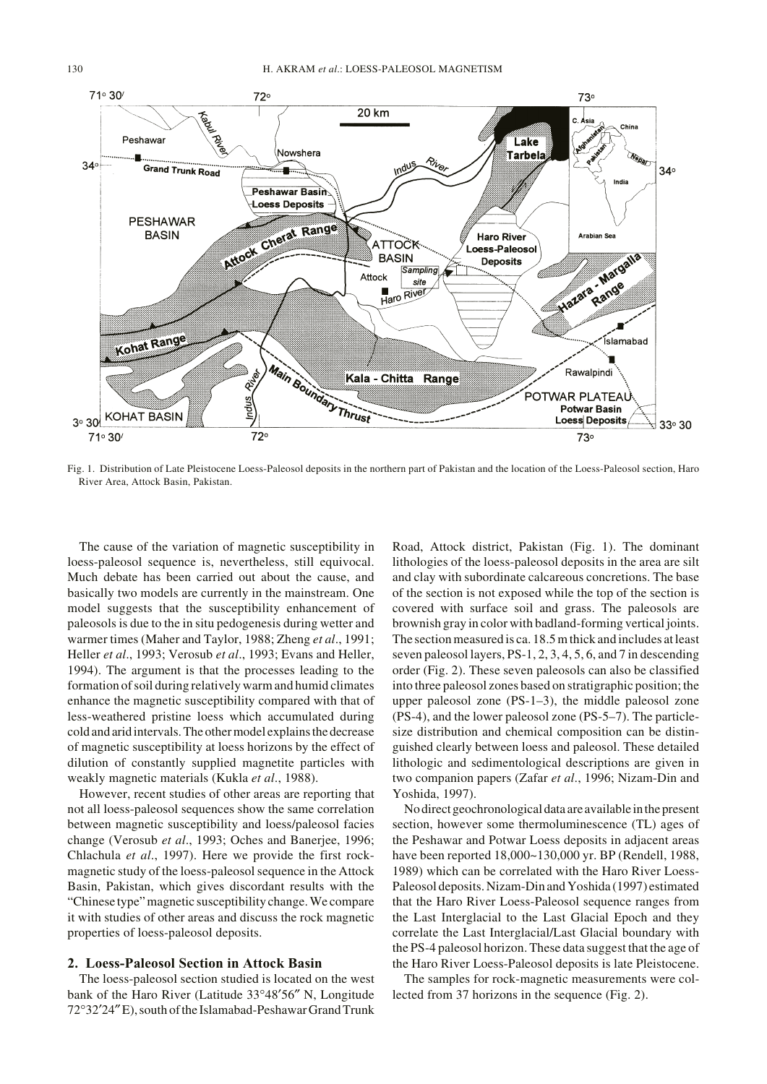

Fig. 1. Distribution of Late Pleistocene Loess-Paleosol deposits in the northern part of Pakistan and the location of the Loess-Paleosol section, Haro River Area, Attock Basin, Pakistan.

The cause of the variation of magnetic susceptibility in loess-paleosol sequence is, nevertheless, still equivocal. Much debate has been carried out about the cause, and basically two models are currently in the mainstream. One model suggests that the susceptibility enhancement of paleosols is due to the in situ pedogenesis during wetter and warmer times (Maher and Taylor, 1988; Zheng *et al*., 1991; Heller *et al*., 1993; Verosub *et al*., 1993; Evans and Heller, 1994). The argument is that the processes leading to the formation of soil during relatively warm and humid climates enhance the magnetic susceptibility compared with that of less-weathered pristine loess which accumulated during cold and arid intervals. The other model explains the decrease of magnetic susceptibility at loess horizons by the effect of dilution of constantly supplied magnetite particles with weakly magnetic materials (Kukla *et al*., 1988).

However, recent studies of other areas are reporting that not all loess-paleosol sequences show the same correlation between magnetic susceptibility and loess/paleosol facies change (Verosub *et al*., 1993; Oches and Banerjee, 1996; Chlachula *et al*., 1997). Here we provide the first rockmagnetic study of the loess-paleosol sequence in the Attock Basin, Pakistan, which gives discordant results with the "Chinese type" magnetic susceptibility change. We compare it with studies of other areas and discuss the rock magnetic properties of loess-paleosol deposits.

## **2. Loess-Paleosol Section in Attock Basin**

The loess-paleosol section studied is located on the west bank of the Haro River (Latitude 33°48′56″ N, Longitude 72°32′24″ E), south of the Islamabad-Peshawar Grand Trunk Road, Attock district, Pakistan (Fig. 1). The dominant lithologies of the loess-paleosol deposits in the area are silt and clay with subordinate calcareous concretions. The base of the section is not exposed while the top of the section is covered with surface soil and grass. The paleosols are brownish gray in color with badland-forming vertical joints. The section measured is ca. 18.5 m thick and includes at least seven paleosol layers, PS-1, 2, 3, 4, 5, 6, and 7 in descending order (Fig. 2). These seven paleosols can also be classified into three paleosol zones based on stratigraphic position; the upper paleosol zone (PS-1–3), the middle paleosol zone (PS-4), and the lower paleosol zone (PS-5–7). The particlesize distribution and chemical composition can be distinguished clearly between loess and paleosol. These detailed lithologic and sedimentological descriptions are given in two companion papers (Zafar *et al*., 1996; Nizam-Din and Yoshida, 1997).

No direct geochronological data are available in the present section, however some thermoluminescence (TL) ages of the Peshawar and Potwar Loess deposits in adjacent areas have been reported 18,000~130,000 yr. BP (Rendell, 1988, 1989) which can be correlated with the Haro River Loess-Paleosol deposits. Nizam-Din and Yoshida (1997) estimated that the Haro River Loess-Paleosol sequence ranges from the Last Interglacial to the Last Glacial Epoch and they correlate the Last Interglacial/Last Glacial boundary with the PS-4 paleosol horizon. These data suggest that the age of the Haro River Loess-Paleosol deposits is late Pleistocene.

The samples for rock-magnetic measurements were collected from 37 horizons in the sequence (Fig. 2).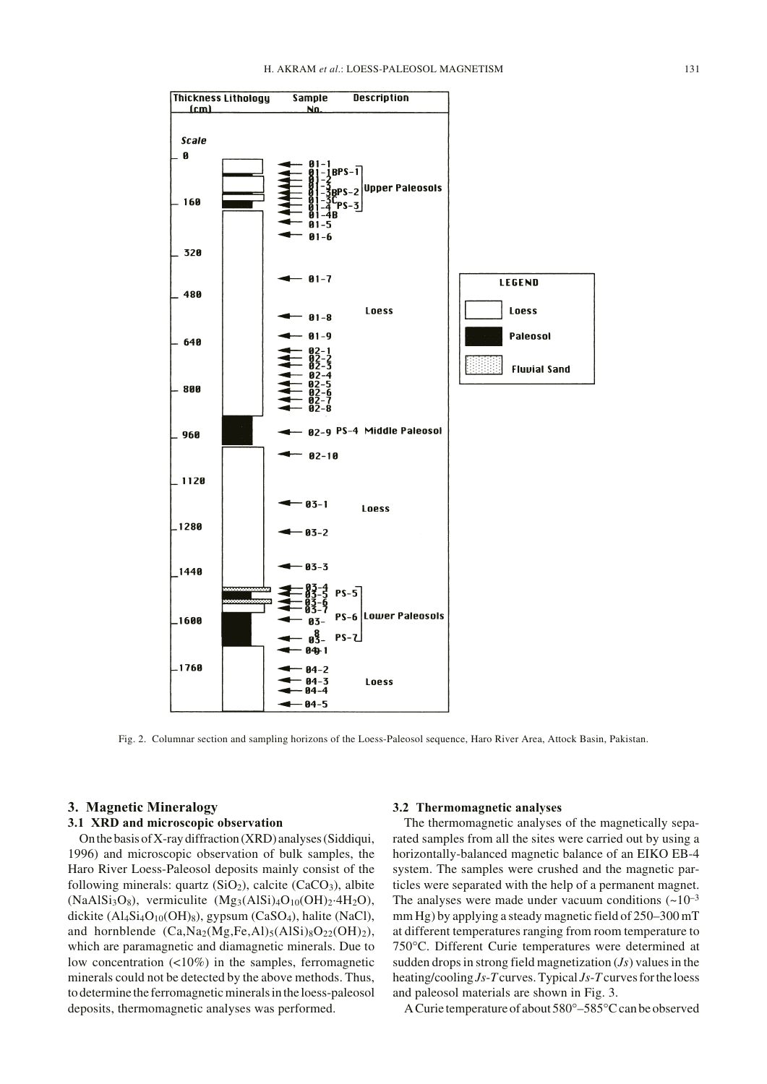

Fig. 2. Columnar section and sampling horizons of the Loess-Paleosol sequence, Haro River Area, Attock Basin, Pakistan.

## **3. Magnetic Mineralogy**

#### **3.1 XRD and microscopic observation**

On the basis of X-ray diffraction (XRD) analyses (Siddiqui, 1996) and microscopic observation of bulk samples, the Haro River Loess-Paleosol deposits mainly consist of the following minerals: quartz  $(SiO<sub>2</sub>)$ , calcite  $(CaCO<sub>3</sub>)$ , albite  $(NaAlSi<sub>3</sub>O<sub>8</sub>)$ , vermiculite  $(Mg<sub>3</sub>(AlSi)<sub>4</sub>O<sub>10</sub>(OH)<sub>2</sub>·4H<sub>2</sub>O)$ , dickite  $(Al_4Si_4O_{10}(OH)_8)$ , gypsum (CaSO<sub>4</sub>), halite (NaCl), and hornblende  $(Ca,Na_2(Mg,Fe,Al)_5(AlSi)_8O_{22}(OH)_2)$ , which are paramagnetic and diamagnetic minerals. Due to low concentration (<10%) in the samples, ferromagnetic minerals could not be detected by the above methods. Thus, to determine the ferromagnetic minerals in the loess-paleosol deposits, thermomagnetic analyses was performed.

#### **3.2 Thermomagnetic analyses**

The thermomagnetic analyses of the magnetically separated samples from all the sites were carried out by using a horizontally-balanced magnetic balance of an EIKO EB-4 system. The samples were crushed and the magnetic particles were separated with the help of a permanent magnet. The analyses were made under vacuum conditions  $({\sim}10^{-3}$ mm Hg) by applying a steady magnetic field of 250–300 mT at different temperatures ranging from room temperature to 750°C. Different Curie temperatures were determined at sudden drops in strong field magnetization (*Js*) values in the heating/cooling *Js*-*T* curves. Typical *Js*-*T* curves for the loess and paleosol materials are shown in Fig. 3.

A Curie temperature of about 580°–585°C can be observed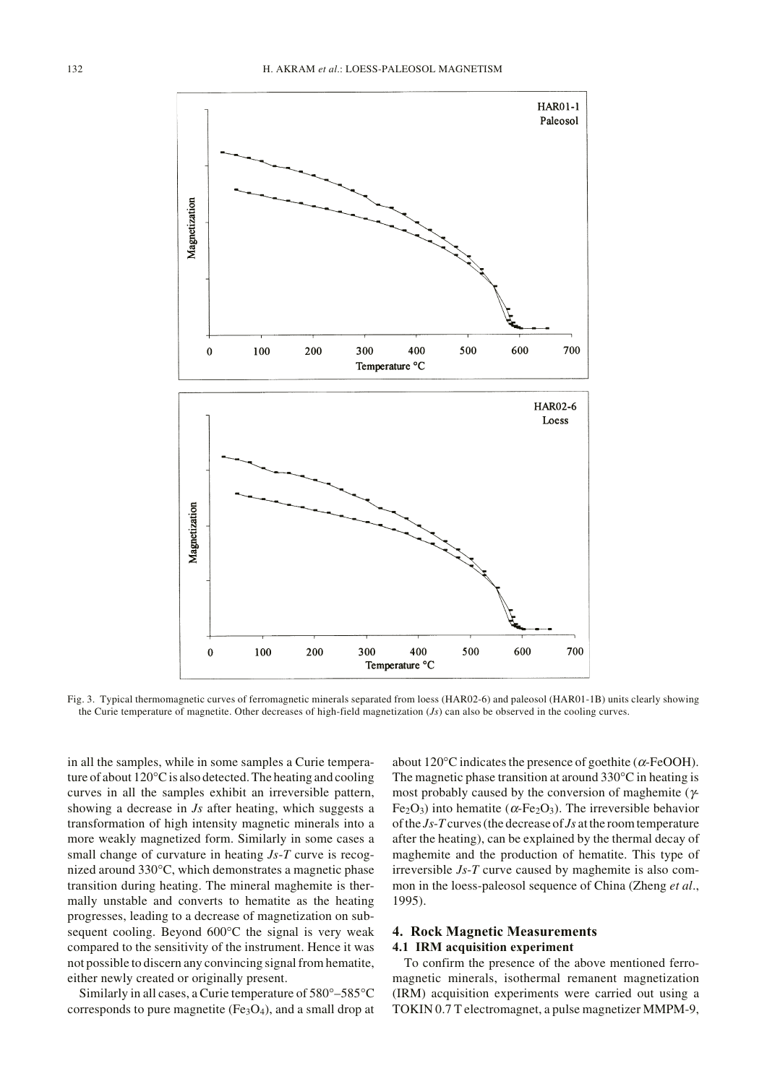

Fig. 3. Typical thermomagnetic curves of ferromagnetic minerals separated from loess (HAR02-6) and paleosol (HAR01-1B) units clearly showing the Curie temperature of magnetite. Other decreases of high-field magnetization (*Js*) can also be observed in the cooling curves.

in all the samples, while in some samples a Curie temperature of about 120°C is also detected. The heating and cooling curves in all the samples exhibit an irreversible pattern, showing a decrease in *Js* after heating, which suggests a transformation of high intensity magnetic minerals into a more weakly magnetized form. Similarly in some cases a small change of curvature in heating *Js*-*T* curve is recognized around 330°C, which demonstrates a magnetic phase transition during heating. The mineral maghemite is thermally unstable and converts to hematite as the heating progresses, leading to a decrease of magnetization on subsequent cooling. Beyond 600°C the signal is very weak compared to the sensitivity of the instrument. Hence it was not possible to discern any convincing signal from hematite, either newly created or originally present.

Similarly in all cases, a Curie temperature of 580°–585°C corresponds to pure magnetite  $(Fe<sub>3</sub>O<sub>4</sub>)$ , and a small drop at

about  $120^{\circ}$ C indicates the presence of goethite ( $\alpha$ -FeOOH). The magnetic phase transition at around 330°C in heating is most probably caused by the conversion of maghemite ( $\gamma$ -Fe<sub>2</sub>O<sub>3</sub>) into hematite ( $\alpha$ -Fe<sub>2</sub>O<sub>3</sub>). The irreversible behavior of the *Js*-*T* curves (the decrease of *Js* at the room temperature after the heating), can be explained by the thermal decay of maghemite and the production of hematite. This type of irreversible *Js*-*T* curve caused by maghemite is also common in the loess-paleosol sequence of China (Zheng *et al*., 1995).

## **4. Rock Magnetic Measurements 4.1 IRM acquisition experiment**

To confirm the presence of the above mentioned ferromagnetic minerals, isothermal remanent magnetization (IRM) acquisition experiments were carried out using a TOKIN 0.7 T electromagnet, a pulse magnetizer MMPM-9,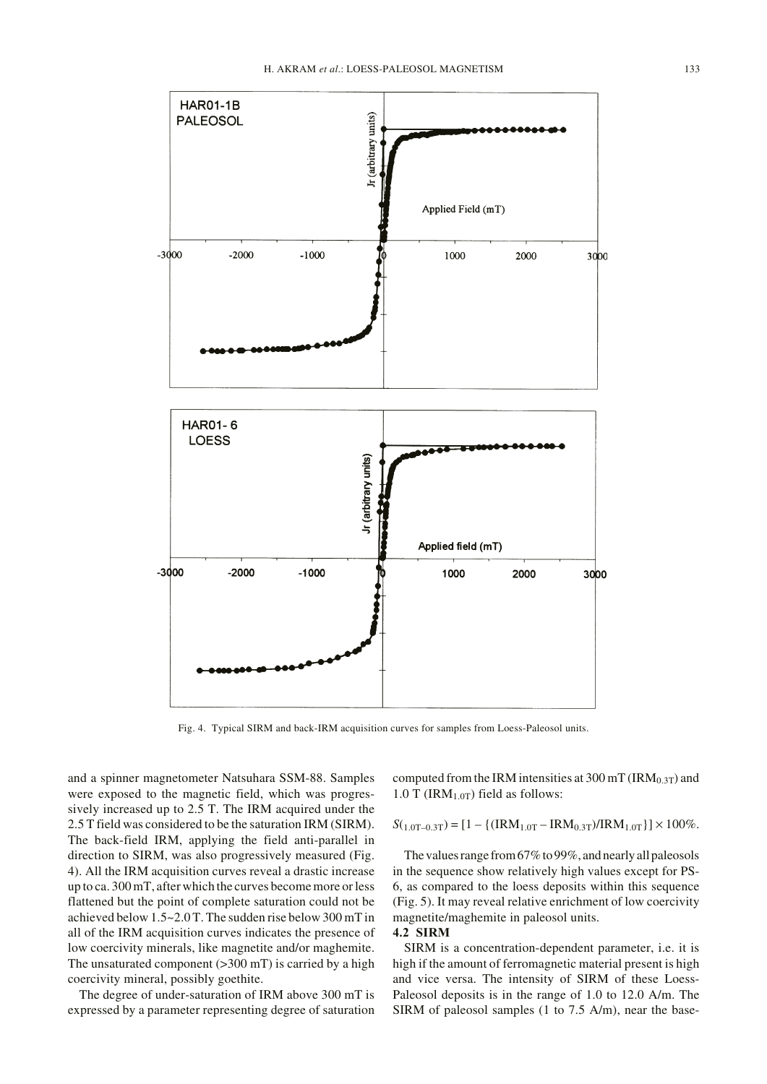

Fig. 4. Typical SIRM and back-IRM acquisition curves for samples from Loess-Paleosol units.

and a spinner magnetometer Natsuhara SSM-88. Samples were exposed to the magnetic field, which was progressively increased up to 2.5 T. The IRM acquired under the 2.5 T field was considered to be the saturation IRM (SIRM). The back-field IRM, applying the field anti-parallel in direction to SIRM, was also progressively measured (Fig. 4). All the IRM acquisition curves reveal a drastic increase up to ca. 300 mT, after which the curves become more or less flattened but the point of complete saturation could not be achieved below 1.5~2.0 T. The sudden rise below 300 mT in all of the IRM acquisition curves indicates the presence of low coercivity minerals, like magnetite and/or maghemite. The unsaturated component  $(>300$  mT) is carried by a high coercivity mineral, possibly goethite.

The degree of under-saturation of IRM above 300 mT is expressed by a parameter representing degree of saturation computed from the IRM intensities at  $300 \,\mathrm{mT}$  (IRM<sub>0.3T</sub>) and  $1.0$  T (IRM<sub>1.0T</sub>) field as follows:

$$
S_{(1.0T-0.3T)} = [1 - \{ (IRM_{1.0T} - IRM_{0.3T})/IRM_{1.0T} \} ] \times 100\%.
$$

The values range from 67% to 99%, and nearly all paleosols in the sequence show relatively high values except for PS-6, as compared to the loess deposits within this sequence (Fig. 5). It may reveal relative enrichment of low coercivity magnetite/maghemite in paleosol units.

#### **4.2 SIRM**

SIRM is a concentration-dependent parameter, i.e. it is high if the amount of ferromagnetic material present is high and vice versa. The intensity of SIRM of these Loess-Paleosol deposits is in the range of 1.0 to 12.0 A/m. The SIRM of paleosol samples (1 to 7.5 A/m), near the base-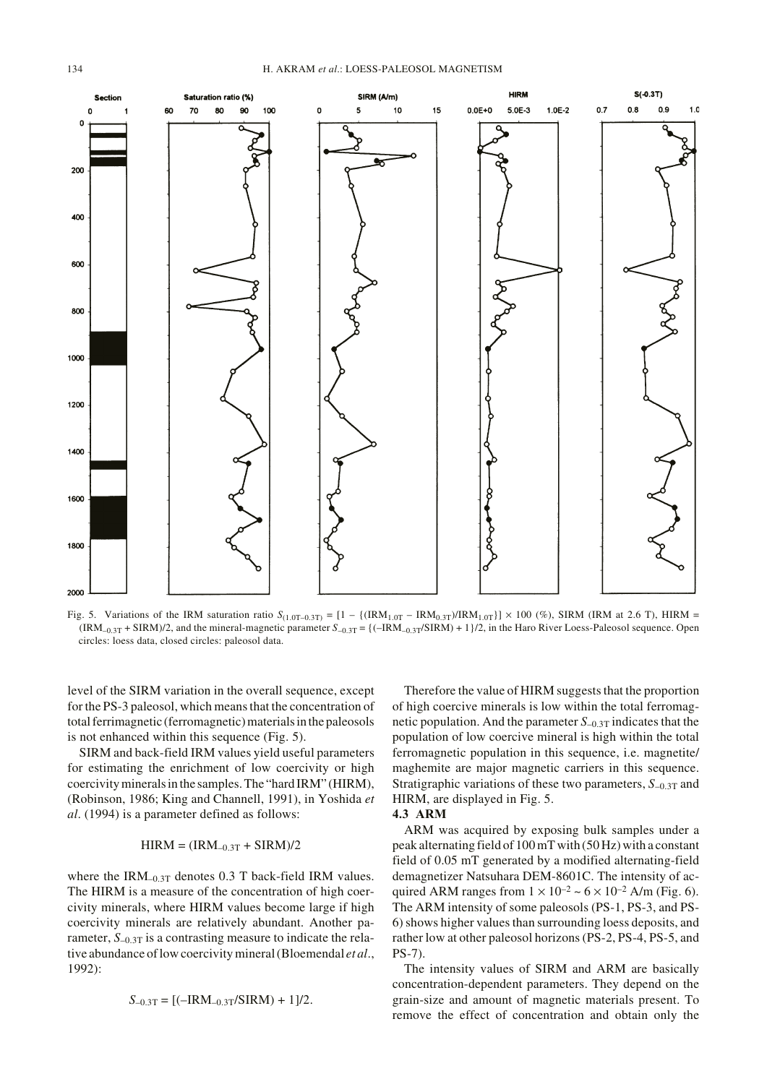

Fig. 5. Variations of the IRM saturation ratio  $S_{(1.0T-0.3T)} = [1 - \{(\text{IRM}_{1.0T} - \text{IRM}_{0.3T}) / \text{IRM}_{1.0T}\}] \times 100$  (%), SIRM (IRM at 2.6 T), HIRM =  $(IRM_{-0.3T} + SIRM)/2$ , and the mineral-magnetic parameter  $S_{-0.3T} = {(-IRM_{-0.3T}/SIRM) + 1}/2$ , in the Haro River Loess-Paleosol sequence. Open circles: loess data, closed circles: paleosol data.

level of the SIRM variation in the overall sequence, except for the PS-3 paleosol, which means that the concentration of total ferrimagnetic (ferromagnetic) materials in the paleosols is not enhanced within this sequence (Fig. 5).

SIRM and back-field IRM values yield useful parameters for estimating the enrichment of low coercivity or high coercivity minerals in the samples. The "hard IRM" (HIRM), (Robinson, 1986; King and Channell, 1991), in Yoshida *et al*. (1994) is a parameter defined as follows:

#### $HIRM = (IRM_{-0.3T} + SIRM)/2$

where the IRM<sub>-0.3T</sub> denotes 0.3 T back-field IRM values. The HIRM is a measure of the concentration of high coercivity minerals, where HIRM values become large if high coercivity minerals are relatively abundant. Another parameter,  $S_{-0.3T}$  is a contrasting measure to indicate the relative abundance of low coercivity mineral (Bloemendal *et al*., 1992):

$$
S_{-0.3T} = [(-\text{IRM}_{-0.3T}/\text{SIRM}) + 1]/2.
$$

Therefore the value of HIRM suggests that the proportion of high coercive minerals is low within the total ferromagnetic population. And the parameter  $S_{-0.3T}$  indicates that the population of low coercive mineral is high within the total ferromagnetic population in this sequence, i.e. magnetite/ maghemite are major magnetic carriers in this sequence. Stratigraphic variations of these two parameters,  $S_{-0.3T}$  and HIRM, are displayed in Fig. 5.

## **4.3 ARM**

ARM was acquired by exposing bulk samples under a peak alternating field of 100 mT with (50 Hz) with a constant field of 0.05 mT generated by a modified alternating-field demagnetizer Natsuhara DEM-8601C. The intensity of acquired ARM ranges from  $1 \times 10^{-2} \sim 6 \times 10^{-2}$  A/m (Fig. 6). The ARM intensity of some paleosols (PS-1, PS-3, and PS-6) shows higher values than surrounding loess deposits, and rather low at other paleosol horizons (PS-2, PS-4, PS-5, and PS-7).

The intensity values of SIRM and ARM are basically concentration-dependent parameters. They depend on the grain-size and amount of magnetic materials present. To remove the effect of concentration and obtain only the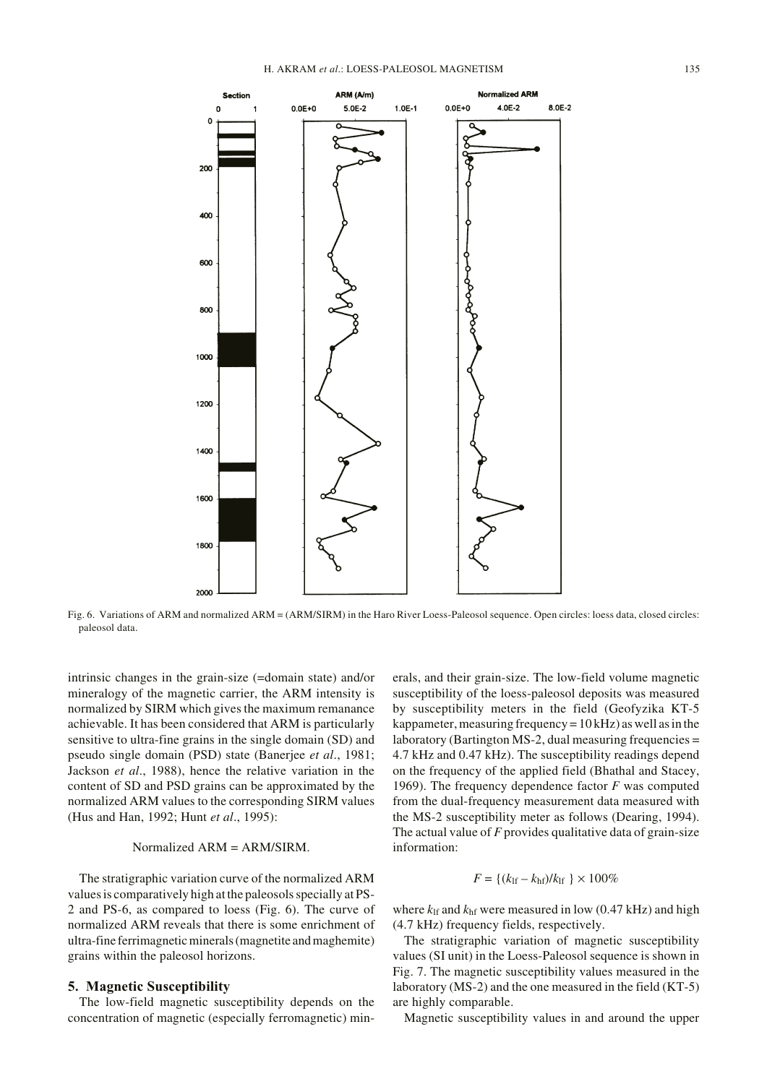

Fig. 6. Variations of ARM and normalized ARM = (ARM/SIRM) in the Haro River Loess-Paleosol sequence. Open circles: loess data, closed circles: paleosol data.

intrinsic changes in the grain-size (=domain state) and/or mineralogy of the magnetic carrier, the ARM intensity is normalized by SIRM which gives the maximum remanance achievable. It has been considered that ARM is particularly sensitive to ultra-fine grains in the single domain (SD) and pseudo single domain (PSD) state (Banerjee *et al*., 1981; Jackson *et al*., 1988), hence the relative variation in the content of SD and PSD grains can be approximated by the normalized ARM values to the corresponding SIRM values (Hus and Han, 1992; Hunt *et al*., 1995):

#### Normalized ARM = ARM/SIRM.

The stratigraphic variation curve of the normalized ARM values is comparatively high at the paleosols specially at PS-2 and PS-6, as compared to loess (Fig. 6). The curve of normalized ARM reveals that there is some enrichment of ultra-fine ferrimagnetic minerals (magnetite and maghemite) grains within the paleosol horizons.

#### **5. Magnetic Susceptibility**

The low-field magnetic susceptibility depends on the concentration of magnetic (especially ferromagnetic) min-

erals, and their grain-size. The low-field volume magnetic susceptibility of the loess-paleosol deposits was measured by susceptibility meters in the field (Geofyzika KT-5 kappameter, measuring frequency =  $10$  kHz) as well as in the laboratory (Bartington MS-2, dual measuring frequencies = 4.7 kHz and 0.47 kHz). The susceptibility readings depend on the frequency of the applied field (Bhathal and Stacey, 1969). The frequency dependence factor *F* was computed from the dual-frequency measurement data measured with the MS-2 susceptibility meter as follows (Dearing, 1994). The actual value of *F* provides qualitative data of grain-size information:

$$
F = \{(k_{\text{lf}} - k_{\text{hf}})/k_{\text{lf}}\} \times 100\%
$$

where  $k_{\text{lf}}$  and  $k_{\text{hf}}$  were measured in low (0.47 kHz) and high (4.7 kHz) frequency fields, respectively.

The stratigraphic variation of magnetic susceptibility values (SI unit) in the Loess-Paleosol sequence is shown in Fig. 7. The magnetic susceptibility values measured in the laboratory (MS-2) and the one measured in the field (KT-5) are highly comparable.

Magnetic susceptibility values in and around the upper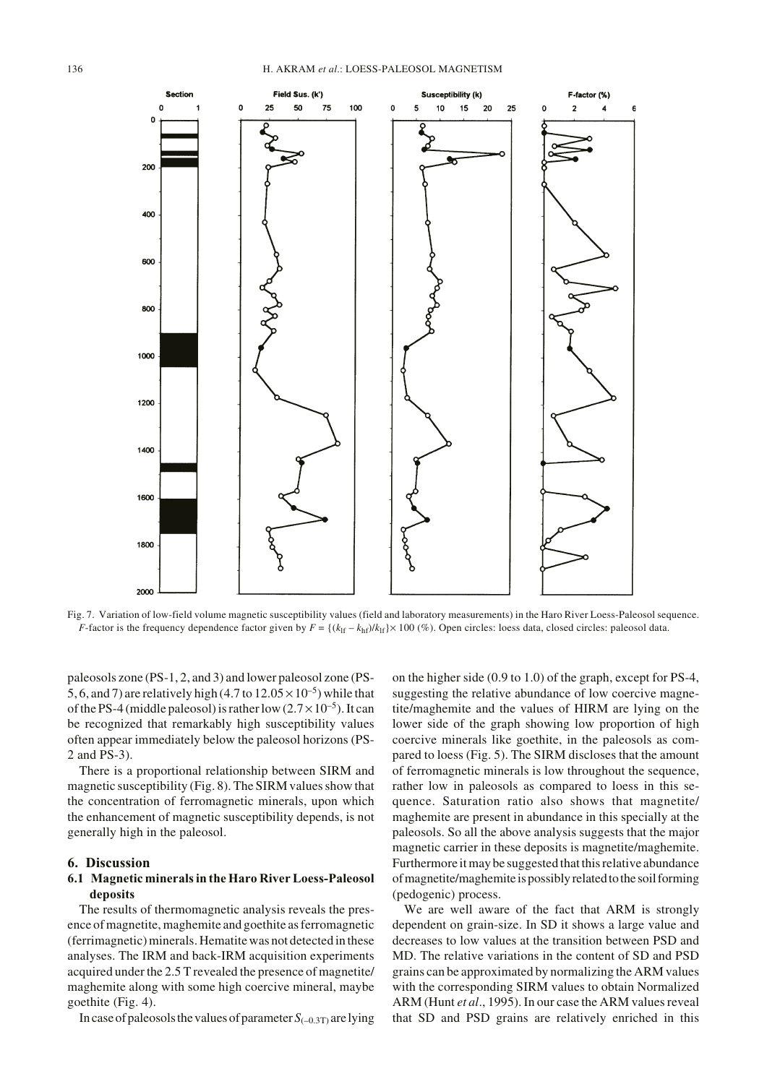

Fig. 7. Variation of low-field volume magnetic susceptibility values (field and laboratory measurements) in the Haro River Loess-Paleosol sequence. *F*-factor is the frequency dependence factor given by  $F = \{(k_H - k_H)/k_H\} \times 100$  (%). Open circles: loess data, closed circles: paleosol data.

paleosols zone (PS-1, 2, and 3) and lower paleosol zone (PS-5, 6, and 7) are relatively high (4.7 to  $12.05 \times 10^{-5}$ ) while that of the PS-4 (middle paleosol) is rather low  $(2.7 \times 10^{-5})$ . It can be recognized that remarkably high susceptibility values often appear immediately below the paleosol horizons (PS-2 and PS-3).

There is a proportional relationship between SIRM and magnetic susceptibility (Fig. 8). The SIRM values show that the concentration of ferromagnetic minerals, upon which the enhancement of magnetic susceptibility depends, is not generally high in the paleosol.

#### **6. Discussion**

## **6.1 Magnetic minerals in the Haro River Loess-Paleosol deposits**

The results of thermomagnetic analysis reveals the presence of magnetite, maghemite and goethite as ferromagnetic (ferrimagnetic) minerals. Hematite was not detected in these analyses. The IRM and back-IRM acquisition experiments acquired under the 2.5 T revealed the presence of magnetite/ maghemite along with some high coercive mineral, maybe goethite (Fig. 4).

In case of paleosols the values of parameter  $S_{(-0.3T)}$  are lying

on the higher side (0.9 to 1.0) of the graph, except for PS-4, suggesting the relative abundance of low coercive magnetite/maghemite and the values of HIRM are lying on the lower side of the graph showing low proportion of high coercive minerals like goethite, in the paleosols as compared to loess (Fig. 5). The SIRM discloses that the amount of ferromagnetic minerals is low throughout the sequence, rather low in paleosols as compared to loess in this sequence. Saturation ratio also shows that magnetite/ maghemite are present in abundance in this specially at the paleosols. So all the above analysis suggests that the major magnetic carrier in these deposits is magnetite/maghemite. Furthermore it may be suggested that this relative abundance of magnetite/maghemite is possibly related to the soil forming (pedogenic) process.

We are well aware of the fact that ARM is strongly dependent on grain-size. In SD it shows a large value and decreases to low values at the transition between PSD and MD. The relative variations in the content of SD and PSD grains can be approximated by normalizing the ARM values with the corresponding SIRM values to obtain Normalized ARM (Hunt *et al*., 1995). In our case the ARM values reveal that SD and PSD grains are relatively enriched in this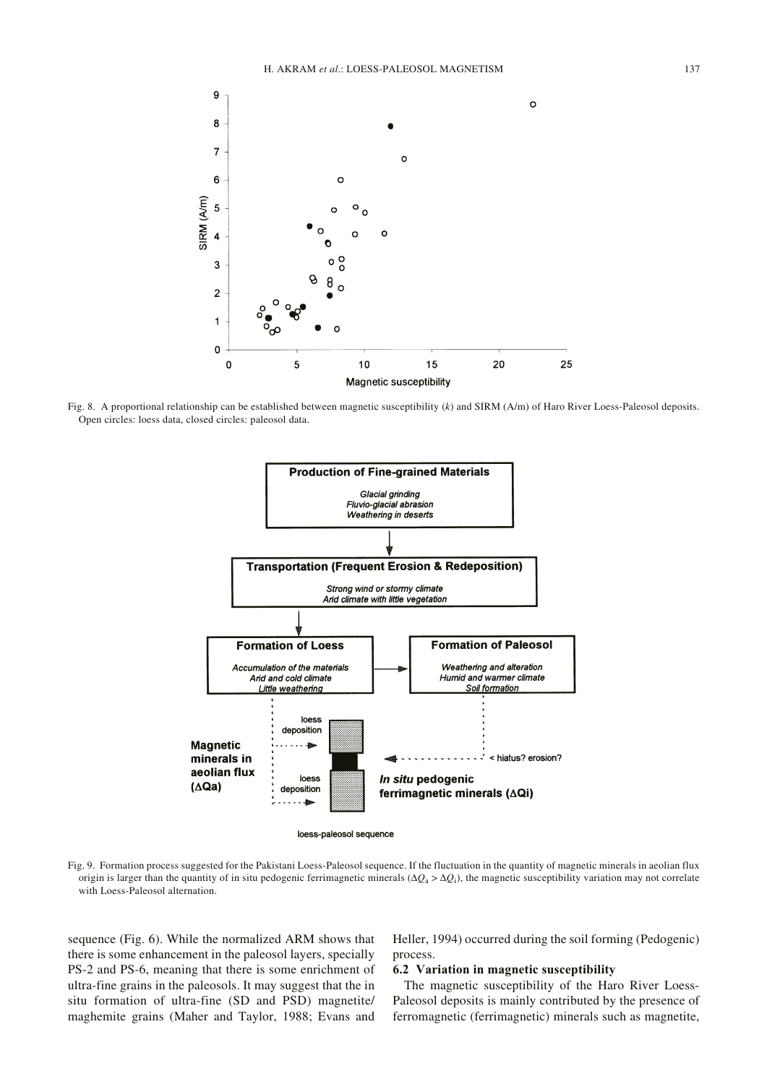

Fig. 8. A proportional relationship can be established between magnetic susceptibility (*k*) and SIRM (A/m) of Haro River Loess-Paleosol deposits. Open circles: loess data, closed circles: paleosol data.



loess-paleosol sequence

Fig. 9. Formation process suggested for the Pakistani Loess-Paleosol sequence. If the fluctuation in the quantity of magnetic minerals in aeolian flux origin is larger than the quantity of in situ pedogenic ferrimagnetic minerals  $(\Delta Q_a > \Delta Q_i)$ , the magnetic susceptibility variation may not correlate with Loess-Paleosol alternation.

sequence (Fig. 6). While the normalized ARM shows that there is some enhancement in the paleosol layers, specially PS-2 and PS-6, meaning that there is some enrichment of ultra-fine grains in the paleosols. It may suggest that the in situ formation of ultra-fine (SD and PSD) magnetite/ maghemite grains (Maher and Taylor, 1988; Evans and

Heller, 1994) occurred during the soil forming (Pedogenic) process.

#### **6.2 Variation in magnetic susceptibility**

The magnetic susceptibility of the Haro River Loess-Paleosol deposits is mainly contributed by the presence of ferromagnetic (ferrimagnetic) minerals such as magnetite,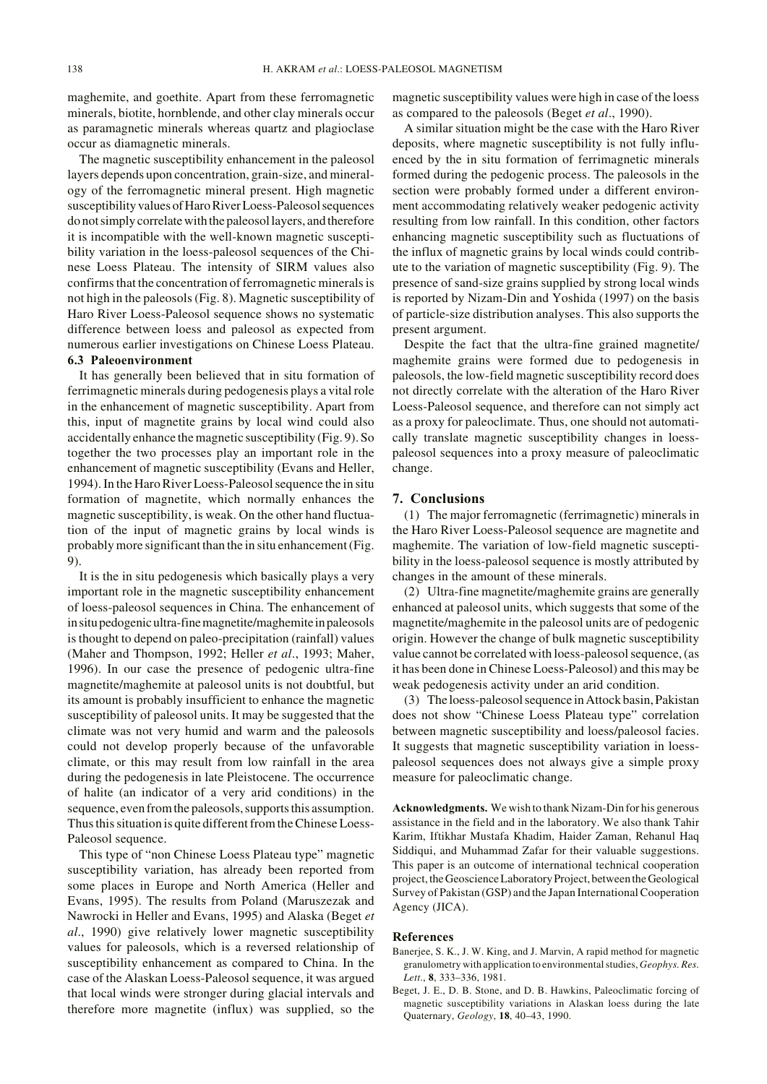maghemite, and goethite. Apart from these ferromagnetic minerals, biotite, hornblende, and other clay minerals occur as paramagnetic minerals whereas quartz and plagioclase occur as diamagnetic minerals.

The magnetic susceptibility enhancement in the paleosol layers depends upon concentration, grain-size, and mineralogy of the ferromagnetic mineral present. High magnetic susceptibility values of Haro River Loess-Paleosol sequences do not simply correlate with the paleosol layers, and therefore it is incompatible with the well-known magnetic susceptibility variation in the loess-paleosol sequences of the Chinese Loess Plateau. The intensity of SIRM values also confirms that the concentration of ferromagnetic minerals is not high in the paleosols (Fig. 8). Magnetic susceptibility of Haro River Loess-Paleosol sequence shows no systematic difference between loess and paleosol as expected from numerous earlier investigations on Chinese Loess Plateau. **6.3 Paleoenvironment**

## It has generally been believed that in situ formation of

ferrimagnetic minerals during pedogenesis plays a vital role in the enhancement of magnetic susceptibility. Apart from this, input of magnetite grains by local wind could also accidentally enhance the magnetic susceptibility (Fig. 9). So together the two processes play an important role in the enhancement of magnetic susceptibility (Evans and Heller, 1994). In the Haro River Loess-Paleosol sequence the in situ formation of magnetite, which normally enhances the magnetic susceptibility, is weak. On the other hand fluctuation of the input of magnetic grains by local winds is probably more significant than the in situ enhancement (Fig. 9).

It is the in situ pedogenesis which basically plays a very important role in the magnetic susceptibility enhancement of loess-paleosol sequences in China. The enhancement of in situ pedogenic ultra-fine magnetite/maghemite in paleosols is thought to depend on paleo-precipitation (rainfall) values (Maher and Thompson, 1992; Heller *et al*., 1993; Maher, 1996). In our case the presence of pedogenic ultra-fine magnetite/maghemite at paleosol units is not doubtful, but its amount is probably insufficient to enhance the magnetic susceptibility of paleosol units. It may be suggested that the climate was not very humid and warm and the paleosols could not develop properly because of the unfavorable climate, or this may result from low rainfall in the area during the pedogenesis in late Pleistocene. The occurrence of halite (an indicator of a very arid conditions) in the sequence, even from the paleosols, supports this assumption. Thus this situation is quite different from the Chinese Loess-Paleosol sequence.

This type of "non Chinese Loess Plateau type" magnetic susceptibility variation, has already been reported from some places in Europe and North America (Heller and Evans, 1995). The results from Poland (Maruszezak and Nawrocki in Heller and Evans, 1995) and Alaska (Beget *et al*., 1990) give relatively lower magnetic susceptibility values for paleosols, which is a reversed relationship of susceptibility enhancement as compared to China. In the case of the Alaskan Loess-Paleosol sequence, it was argued that local winds were stronger during glacial intervals and therefore more magnetite (influx) was supplied, so the magnetic susceptibility values were high in case of the loess as compared to the paleosols (Beget *et al*., 1990).

A similar situation might be the case with the Haro River deposits, where magnetic susceptibility is not fully influenced by the in situ formation of ferrimagnetic minerals formed during the pedogenic process. The paleosols in the section were probably formed under a different environment accommodating relatively weaker pedogenic activity resulting from low rainfall. In this condition, other factors enhancing magnetic susceptibility such as fluctuations of the influx of magnetic grains by local winds could contribute to the variation of magnetic susceptibility (Fig. 9). The presence of sand-size grains supplied by strong local winds is reported by Nizam-Din and Yoshida (1997) on the basis of particle-size distribution analyses. This also supports the present argument.

Despite the fact that the ultra-fine grained magnetite/ maghemite grains were formed due to pedogenesis in paleosols, the low-field magnetic susceptibility record does not directly correlate with the alteration of the Haro River Loess-Paleosol sequence, and therefore can not simply act as a proxy for paleoclimate. Thus, one should not automatically translate magnetic susceptibility changes in loesspaleosol sequences into a proxy measure of paleoclimatic change.

## **7. Conclusions**

(1) The major ferromagnetic (ferrimagnetic) minerals in the Haro River Loess-Paleosol sequence are magnetite and maghemite. The variation of low-field magnetic susceptibility in the loess-paleosol sequence is mostly attributed by changes in the amount of these minerals.

(2) Ultra-fine magnetite/maghemite grains are generally enhanced at paleosol units, which suggests that some of the magnetite/maghemite in the paleosol units are of pedogenic origin. However the change of bulk magnetic susceptibility value cannot be correlated with loess-paleosol sequence, (as it has been done in Chinese Loess-Paleosol) and this may be weak pedogenesis activity under an arid condition.

(3) The loess-paleosol sequence in Attock basin, Pakistan does not show "Chinese Loess Plateau type" correlation between magnetic susceptibility and loess/paleosol facies. It suggests that magnetic susceptibility variation in loesspaleosol sequences does not always give a simple proxy measure for paleoclimatic change.

**Acknowledgments.** We wish to thank Nizam-Din for his generous assistance in the field and in the laboratory. We also thank Tahir Karim, Iftikhar Mustafa Khadim, Haider Zaman, Rehanul Haq Siddiqui, and Muhammad Zafar for their valuable suggestions. This paper is an outcome of international technical cooperation project, the Geoscience Laboratory Project, between the Geological Survey of Pakistan (GSP) and the Japan International Cooperation Agency (JICA).

#### **References**

- Banerjee, S. K., J. W. King, and J. Marvin, A rapid method for magnetic granulometry with application to environmental studies, *Geophys. Res. Lett*., **8**, 333–336, 1981.
- Beget, J. E., D. B. Stone, and D. B. Hawkins, Paleoclimatic forcing of magnetic susceptibility variations in Alaskan loess during the late Quaternary, *Geology*, **18**, 40–43, 1990.